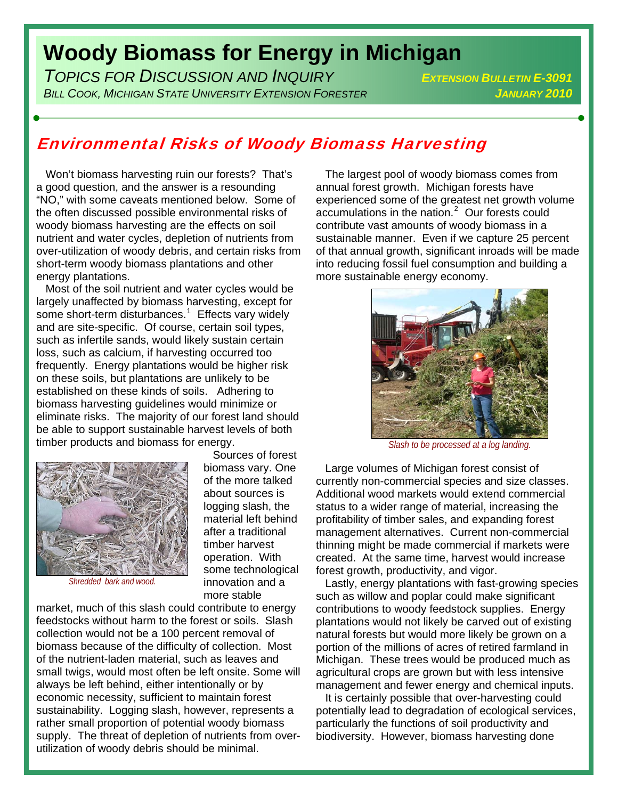## **Woody Biomass for Energy in Michigan**

*TOPICS FOR DISCUSSION AND INQUIRY EXTENSION BULLETIN E-3091 BILL COOK, MICHIGAN STATE UNIVERSITY EXTENSION FORESTER JANUARY 2010*

## Environmental Risks of Woody Biomass Harvesting

 Sources of forest biomass vary. One of the more talked about sources is logging slash, the material left behind after a traditional timber harvest operation. With some technological innovation and a

 Won't biomass harvesting ruin our forests? That's a good question, and the answer is a resounding "NO," with some caveats mentioned below. Some of the often discussed possible environmental risks of woody biomass harvesting are the effects on soil nutrient and water cycles, depletion of nutrients from over-utilization of woody debris, and certain risks from short-term woody biomass plantations and other energy plantations.

 Most of the soil nutrient and water cycles would be largely unaffected by biomass harvesting, except for some short-term disturbances.<sup>[1](#page-1-0)</sup> Effects vary widely and are site-specific. Of course, certain soil types, such as infertile sands, would likely sustain certain loss, such as calcium, if harvesting occurred too frequently. Energy plantations would be higher risk on these soils, but plantations are unlikely to be established on these kinds of soils. Adhering to biomass harvesting guidelines would minimize or eliminate risks. The majority of our forest land should be able to support sustainable harvest levels of both timber products and biomass for energy.



*Shredded bark and wood.* 

more stable market, much of this slash could contribute to energy feedstocks without harm to the forest or soils. Slash collection would not be a 100 percent removal of biomass because of the difficulty of collection. Most of the nutrient-laden material, such as leaves and small twigs, would most often be left onsite. Some will always be left behind, either intentionally or by economic necessity, sufficient to maintain forest sustainability. Logging slash, however, represents a rather small proportion of potential woody biomass supply. The threat of depletion of nutrients from overutilization of woody debris should be minimal.

 The largest pool of woody biomass comes from annual forest growth. Michigan forests have experienced some of the greatest net growth volume accumulations in the nation. $2$  Our forests could contribute vast amounts of woody biomass in a sustainable manner. Even if we capture 25 percent of that annual growth, significant inroads will be made into reducing fossil fuel consumption and building a more sustainable energy economy.



*Slash to be processed at a log landing.* 

 Large volumes of Michigan forest consist of currently non-commercial species and size classes. Additional wood markets would extend commercial status to a wider range of material, increasing the profitability of timber sales, and expanding forest management alternatives. Current non-commercial thinning might be made commercial if markets were created. At the same time, harvest would increase forest growth, productivity, and vigor.

 Lastly, energy plantations with fast-growing species such as willow and poplar could make significant contributions to woody feedstock supplies. Energy plantations would not likely be carved out of existing natural forests but would more likely be grown on a portion of the millions of acres of retired farmland in Michigan. These trees would be produced much as agricultural crops are grown but with less intensive management and fewer energy and chemical inputs.

 It is certainly possible that over-harvesting could potentially lead to degradation of ecological services, particularly the functions of soil productivity and biodiversity. However, biomass harvesting done